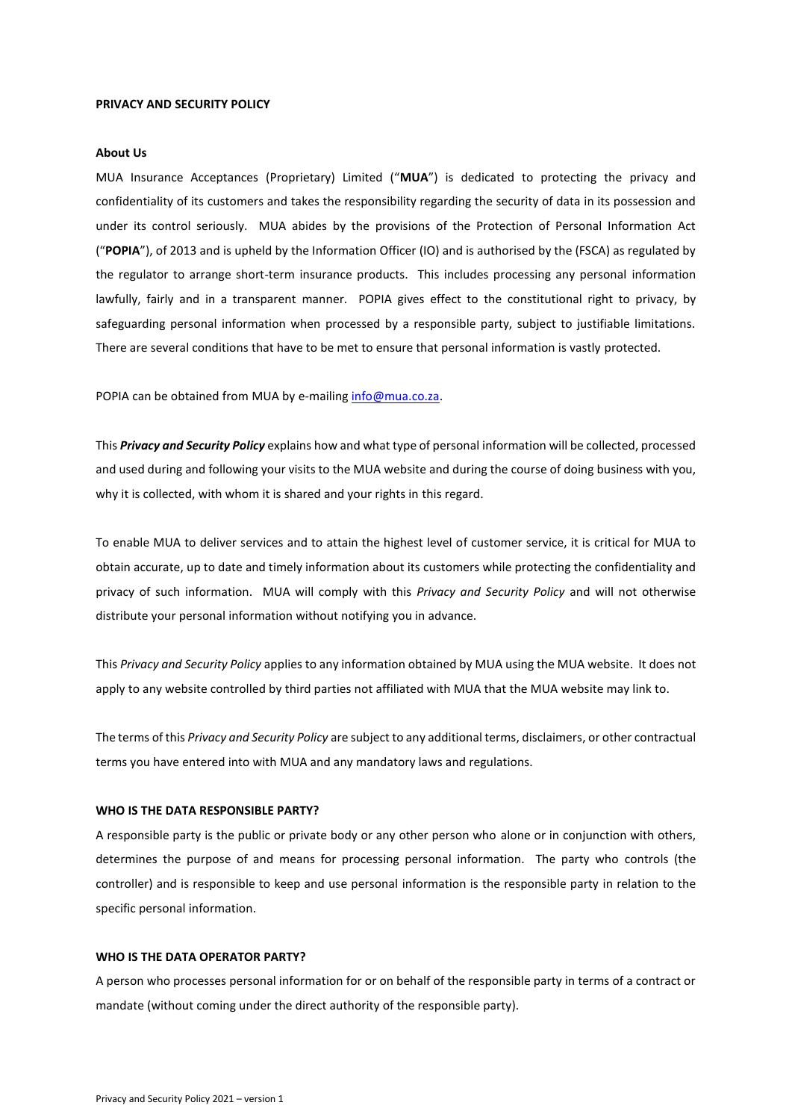#### **PRIVACY AND SECURITY POLICY**

#### **About Us**

MUA Insurance Acceptances (Proprietary) Limited ("**MUA**") is dedicated to protecting the privacy and confidentiality of its customers and takes the responsibility regarding the security of data in its possession and under its control seriously. MUA abides by the provisions of the Protection of Personal Information Act ("**POPIA**"), of 2013 and is upheld by the Information Officer (IO) and is authorised by the (FSCA) as regulated by the regulator to arrange short-term insurance products. This includes processing any personal information lawfully, fairly and in a transparent manner. POPIA gives effect to the constitutional right to privacy, by safeguarding personal information when processed by a responsible party, subject to justifiable limitations. There are several conditions that have to be met to ensure that personal information is vastly protected.

POPIA can be obtained from MUA by e-mailin[g info@mua.co.za.](mailto:info@mua.co.za)

This *Privacy and Security Policy* explains how and what type of personal information will be collected, processed and used during and following your visits to the MUA website and during the course of doing business with you, why it is collected, with whom it is shared and your rights in this regard.

To enable MUA to deliver services and to attain the highest level of customer service, it is critical for MUA to obtain accurate, up to date and timely information about its customers while protecting the confidentiality and privacy of such information. MUA will comply with this *Privacy and Security Policy* and will not otherwise distribute your personal information without notifying you in advance.

This *Privacy and Security Policy* applies to any information obtained by MUA using the MUA website. It does not apply to any website controlled by third parties not affiliated with MUA that the MUA website may link to.

The terms of this *Privacy and Security Policy* are subject to any additional terms, disclaimers, or other contractual terms you have entered into with MUA and any mandatory laws and regulations.

# **WHO IS THE DATA RESPONSIBLE PARTY?**

A responsible party is the public or private body or any other person who alone or in conjunction with others, determines the purpose of and means for processing personal information. The party who controls (the controller) and is responsible to keep and use personal information is the responsible party in relation to the specific personal information.

## **WHO IS THE DATA OPERATOR PARTY?**

A person who processes personal information for or on behalf of the responsible party in terms of a contract or mandate (without coming under the direct authority of the responsible party).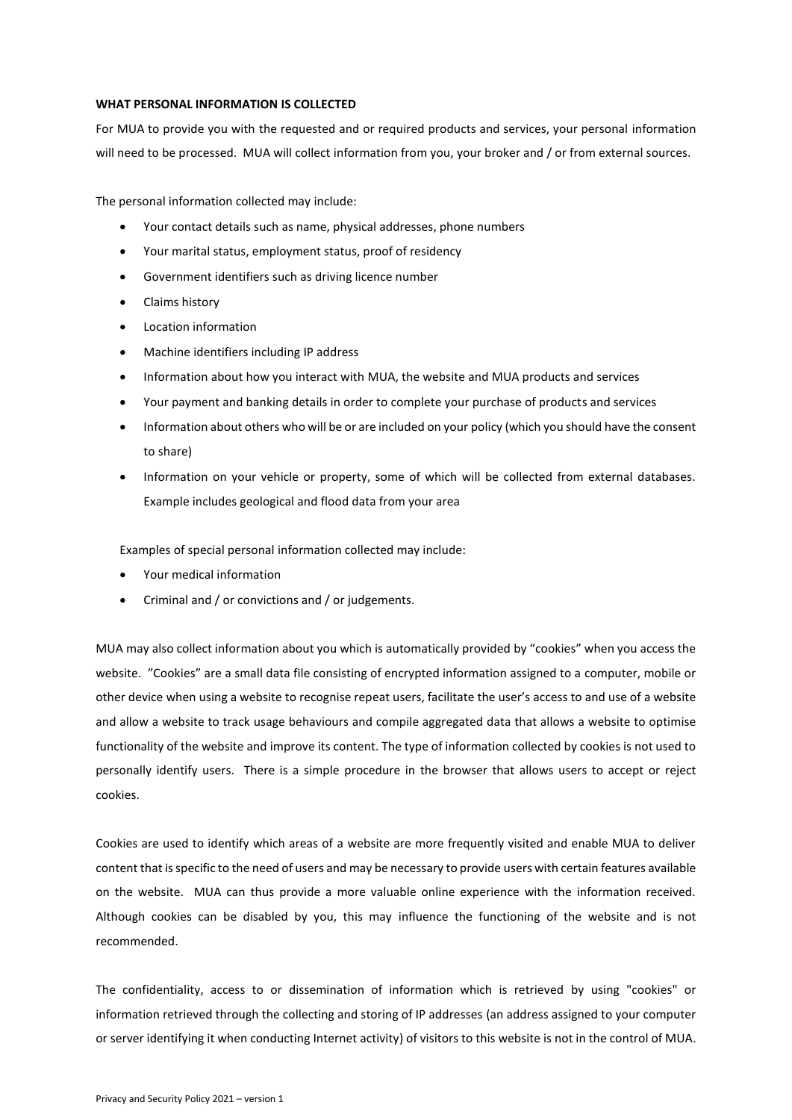### **WHAT PERSONAL INFORMATION IS COLLECTED**

For MUA to provide you with the requested and or required products and services, your personal information will need to be processed. MUA will collect information from you, your broker and / or from external sources.

The personal information collected may include:

- Your contact details such as name, physical addresses, phone numbers
- Your marital status, employment status, proof of residency
- Government identifiers such as driving licence number
- Claims history
- Location information
- Machine identifiers including IP address
- Information about how you interact with MUA, the website and MUA products and services
- Your payment and banking details in order to complete your purchase of products and services
- Information about others who will be or are included on your policy (which you should have the consent to share)
- Information on your vehicle or property, some of which will be collected from external databases. Example includes geological and flood data from your area

Examples of special personal information collected may include:

- Your medical information
- Criminal and / or convictions and / or judgements.

MUA may also collect information about you which is automatically provided by "cookies" when you access the website. "Cookies" are a small data file consisting of encrypted information assigned to a computer, mobile or other device when using a website to recognise repeat users, facilitate the user's access to and use of a website and allow a website to track usage behaviours and compile aggregated data that allows a website to optimise functionality of the website and improve its content. The type of information collected by cookies is not used to personally identify users. There is a simple procedure in the browser that allows users to accept or reject cookies.

Cookies are used to identify which areas of a website are more frequently visited and enable MUA to deliver content that is specific to the need of users and may be necessary to provide users with certain features available on the website. MUA can thus provide a more valuable online experience with the information received. Although cookies can be disabled by you, this may influence the functioning of the website and is not recommended.

The confidentiality, access to or dissemination of information which is retrieved by using "cookies" or information retrieved through the collecting and storing of IP addresses (an address assigned to your computer or server identifying it when conducting Internet activity) of visitors to this website is not in the control of MUA.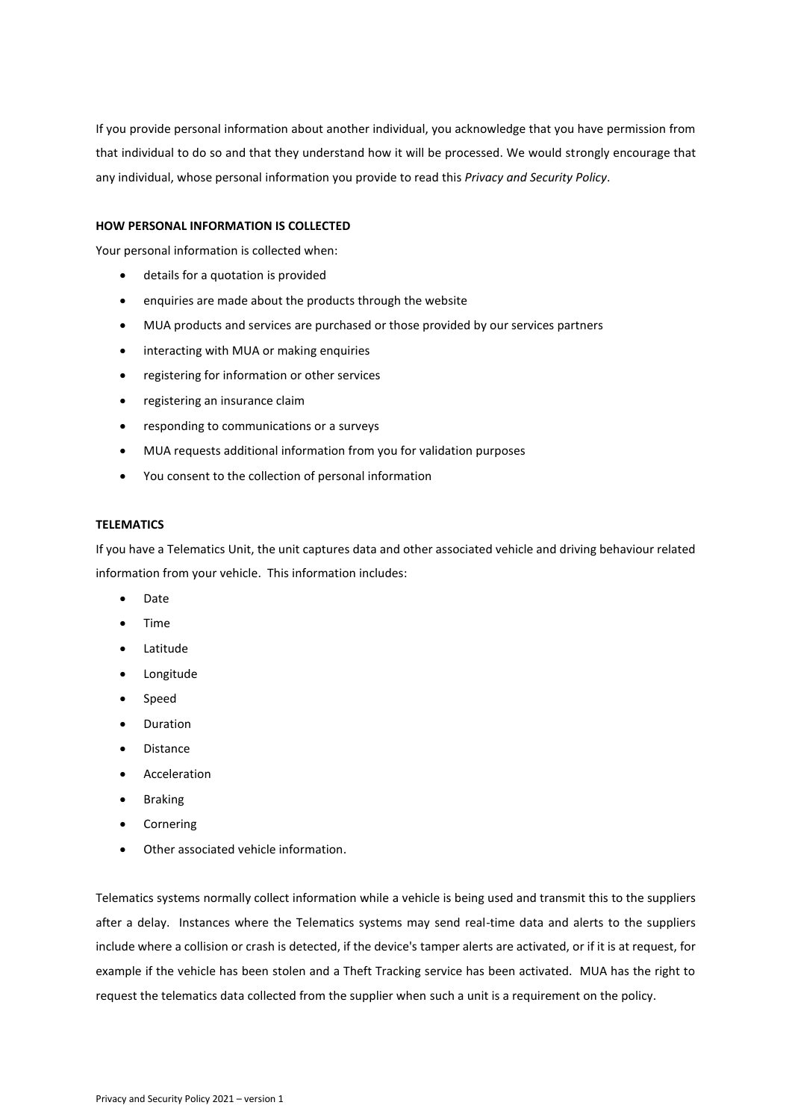If you provide personal information about another individual, you acknowledge that you have permission from that individual to do so and that they understand how it will be processed. We would strongly encourage that any individual, whose personal information you provide to read this *Privacy and Security Policy*.

# **HOW PERSONAL INFORMATION IS COLLECTED**

Your personal information is collected when:

- details for a quotation is provided
- enquiries are made about the products through the website
- MUA products and services are purchased or those provided by our services partners
- interacting with MUA or making enquiries
- registering for information or other services
- registering an insurance claim
- responding to communications or a surveys
- MUA requests additional information from you for validation purposes
- You consent to the collection of personal information

### **TELEMATICS**

If you have a Telematics Unit, the unit captures data and other associated vehicle and driving behaviour related information from your vehicle. This information includes:

- Date
- Time
- Latitude
- Longitude
- Speed
- Duration
- Distance
- Acceleration
- Braking
- Cornering
- Other associated vehicle information.

Telematics systems normally collect information while a vehicle is being used and transmit this to the suppliers after a delay. Instances where the Telematics systems may send real-time data and alerts to the suppliers include where a collision or crash is detected, if the device's tamper alerts are activated, or if it is at request, for example if the vehicle has been stolen and a Theft Tracking service has been activated. MUA has the right to request the telematics data collected from the supplier when such a unit is a requirement on the policy.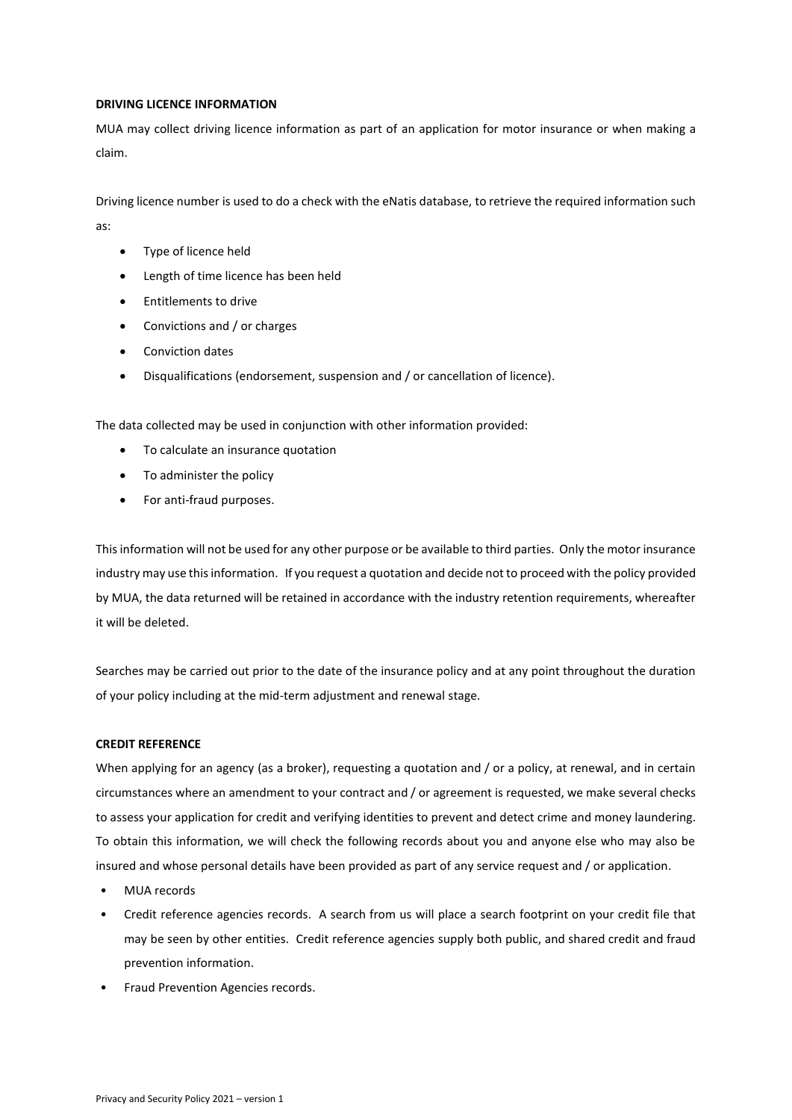## **DRIVING LICENCE INFORMATION**

MUA may collect driving licence information as part of an application for motor insurance or when making a claim.

Driving licence number is used to do a check with the eNatis database, to retrieve the required information such as:

- Type of licence held
- Length of time licence has been held
- Entitlements to drive
- Convictions and / or charges
- Conviction dates
- Disqualifications (endorsement, suspension and / or cancellation of licence).

The data collected may be used in conjunction with other information provided:

- To calculate an insurance quotation
- To administer the policy
- For anti-fraud purposes.

This information will not be used for any other purpose or be available to third parties. Only the motor insurance industry may use this information. If you request a quotation and decide not to proceed with the policy provided by MUA, the data returned will be retained in accordance with the industry retention requirements, whereafter it will be deleted.

Searches may be carried out prior to the date of the insurance policy and at any point throughout the duration of your policy including at the mid-term adjustment and renewal stage.

### **CREDIT REFERENCE**

When applying for an agency (as a broker), requesting a quotation and / or a policy, at renewal, and in certain circumstances where an amendment to your contract and / or agreement is requested, we make several checks to assess your application for credit and verifying identities to prevent and detect crime and money laundering. To obtain this information, we will check the following records about you and anyone else who may also be insured and whose personal details have been provided as part of any service request and / or application.

- MUA records
- Credit reference agencies records. A search from us will place a search footprint on your credit file that may be seen by other entities. Credit reference agencies supply both public, and shared credit and fraud prevention information.
- Fraud Prevention Agencies records.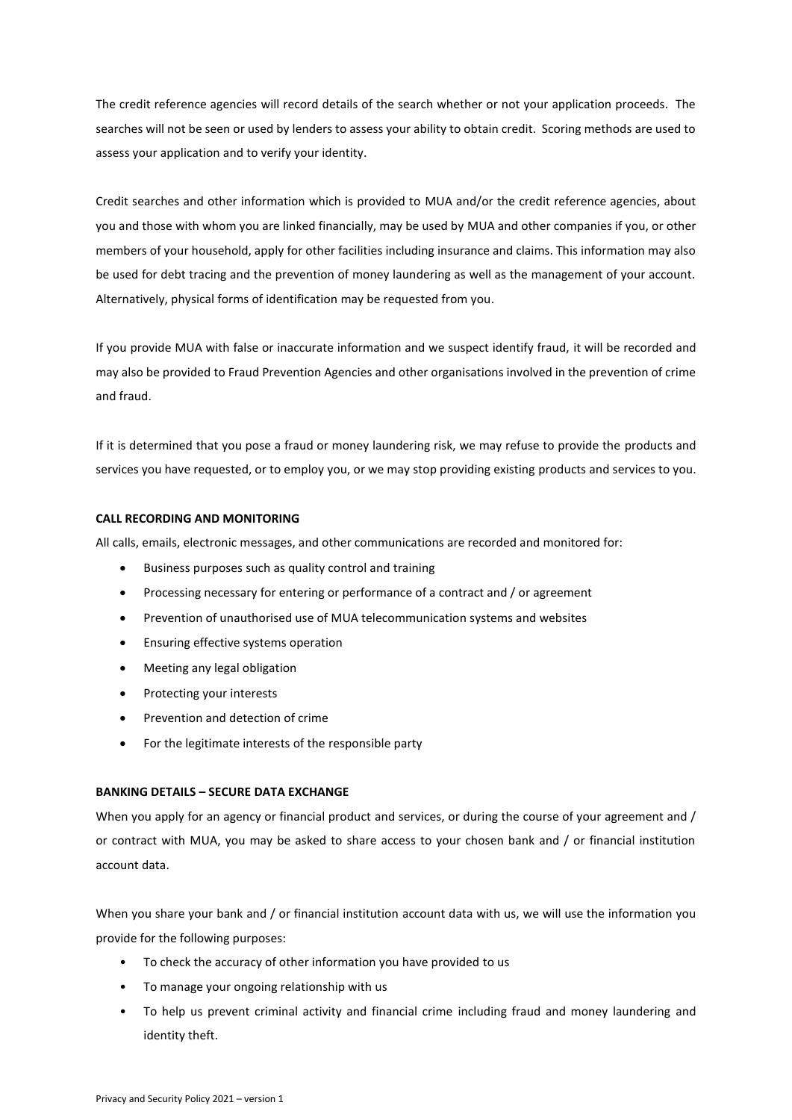The credit reference agencies will record details of the search whether or not your application proceeds. The searches will not be seen or used by lenders to assess your ability to obtain credit. Scoring methods are used to assess your application and to verify your identity.

Credit searches and other information which is provided to MUA and/or the credit reference agencies, about you and those with whom you are linked financially, may be used by MUA and other companies if you, or other members of your household, apply for other facilities including insurance and claims. This information may also be used for debt tracing and the prevention of money laundering as well as the management of your account. Alternatively, physical forms of identification may be requested from you.

If you provide MUA with false or inaccurate information and we suspect identify fraud, it will be recorded and may also be provided to Fraud Prevention Agencies and other organisations involved in the prevention of crime and fraud.

If it is determined that you pose a fraud or money laundering risk, we may refuse to provide the products and services you have requested, or to employ you, or we may stop providing existing products and services to you.

## **CALL RECORDING AND MONITORING**

All calls, emails, electronic messages, and other communications are recorded and monitored for:

- Business purposes such as quality control and training
- Processing necessary for entering or performance of a contract and / or agreement
- Prevention of unauthorised use of MUA telecommunication systems and websites
- Ensuring effective systems operation
- Meeting any legal obligation
- Protecting your interests
- Prevention and detection of crime
- For the legitimate interests of the responsible party

# **BANKING DETAILS – SECURE DATA EXCHANGE**

When you apply for an agency or financial product and services, or during the course of your agreement and / or contract with MUA, you may be asked to share access to your chosen bank and / or financial institution account data.

When you share your bank and / or financial institution account data with us, we will use the information you provide for the following purposes:

- To check the accuracy of other information you have provided to us
- To manage your ongoing relationship with us
- To help us prevent criminal activity and financial crime including fraud and money laundering and identity theft.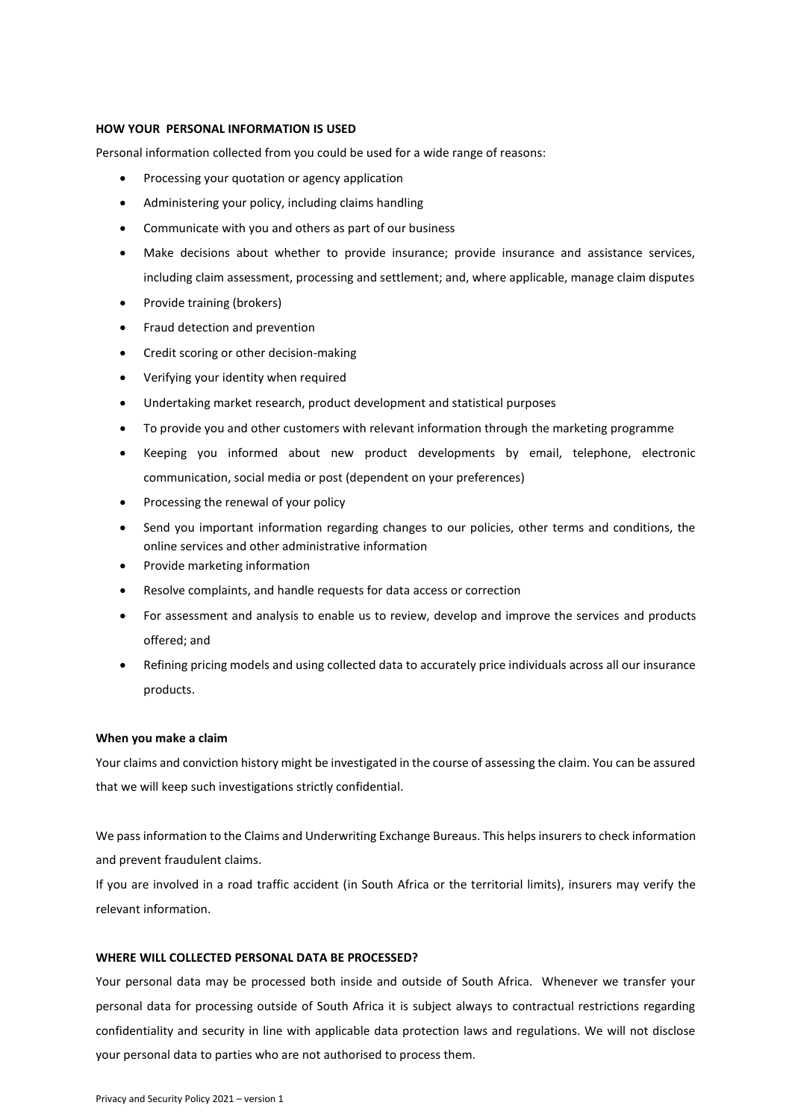### **HOW YOUR PERSONAL INFORMATION IS USED**

Personal information collected from you could be used for a wide range of reasons:

- Processing your quotation or agency application
- Administering your policy, including claims handling
- Communicate with you and others as part of our business
- Make decisions about whether to provide insurance; provide insurance and assistance services, including claim assessment, processing and settlement; and, where applicable, manage claim disputes
- Provide training (brokers)
- Fraud detection and prevention
- Credit scoring or other decision-making
- Verifying your identity when required
- Undertaking market research, product development and statistical purposes
- To provide you and other customers with relevant information through the marketing programme
- Keeping you informed about new product developments by email, telephone, electronic communication, social media or post (dependent on your preferences)
- Processing the renewal of your policy
- Send you important information regarding changes to our policies, other terms and conditions, the online services and other administrative information
- Provide marketing information
- Resolve complaints, and handle requests for data access or correction
- For assessment and analysis to enable us to review, develop and improve the services and products offered; and
- Refining pricing models and using collected data to accurately price individuals across all our insurance products.

#### **When you make a claim**

Your claims and conviction history might be investigated in the course of assessing the claim. You can be assured that we will keep such investigations strictly confidential.

We pass information to the Claims and Underwriting Exchange Bureaus. This helps insurers to check information and prevent fraudulent claims.

If you are involved in a road traffic accident (in South Africa or the territorial limits), insurers may verify the relevant information.

## **WHERE WILL COLLECTED PERSONAL DATA BE PROCESSED?**

Your personal data may be processed both inside and outside of South Africa. Whenever we transfer your personal data for processing outside of South Africa it is subject always to contractual restrictions regarding confidentiality and security in line with applicable data protection laws and regulations. We will not disclose your personal data to parties who are not authorised to process them.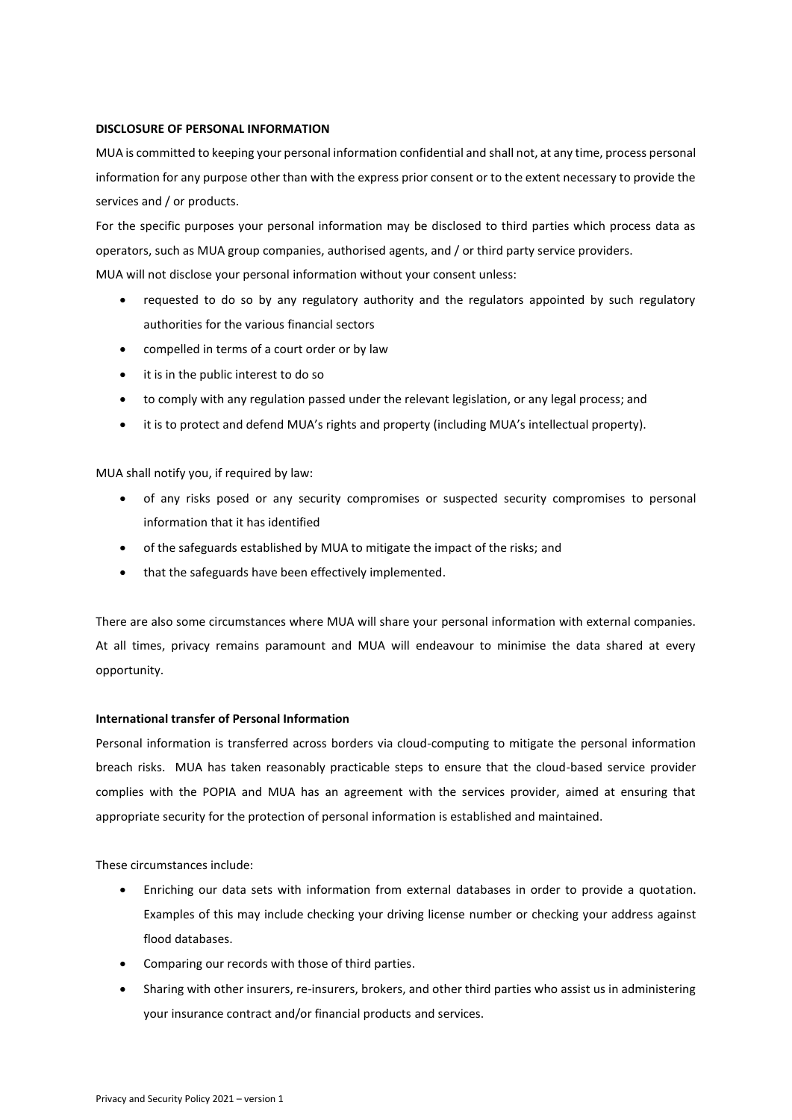## **DISCLOSURE OF PERSONAL INFORMATION**

MUA is committed to keeping your personal information confidential and shall not, at any time, process personal information for any purpose other than with the express prior consent or to the extent necessary to provide the services and / or products.

For the specific purposes your personal information may be disclosed to third parties which process data as operators, such as MUA group companies, authorised agents, and / or third party service providers. MUA will not disclose your personal information without your consent unless:

- requested to do so by any regulatory authority and the regulators appointed by such regulatory authorities for the various financial sectors
- compelled in terms of a court order or by law
- it is in the public interest to do so
- to comply with any regulation passed under the relevant legislation, or any legal process; and
- it is to protect and defend MUA's rights and property (including MUA's intellectual property).

# MUA shall notify you, if required by law:

- of any risks posed or any security compromises or suspected security compromises to personal information that it has identified
- of the safeguards established by MUA to mitigate the impact of the risks; and
- that the safeguards have been effectively implemented.

There are also some circumstances where MUA will share your personal information with external companies. At all times, privacy remains paramount and MUA will endeavour to minimise the data shared at every opportunity.

# **International transfer of Personal Information**

Personal information is transferred across borders via cloud-computing to mitigate the personal information breach risks. MUA has taken reasonably practicable steps to ensure that the cloud-based service provider complies with the POPIA and MUA has an agreement with the services provider, aimed at ensuring that appropriate security for the protection of personal information is established and maintained.

These circumstances include:

- Enriching our data sets with information from external databases in order to provide a quotation. Examples of this may include checking your driving license number or checking your address against flood databases.
- Comparing our records with those of third parties.
- Sharing with other insurers, re-insurers, brokers, and other third parties who assist us in administering your insurance contract and/or financial products and services.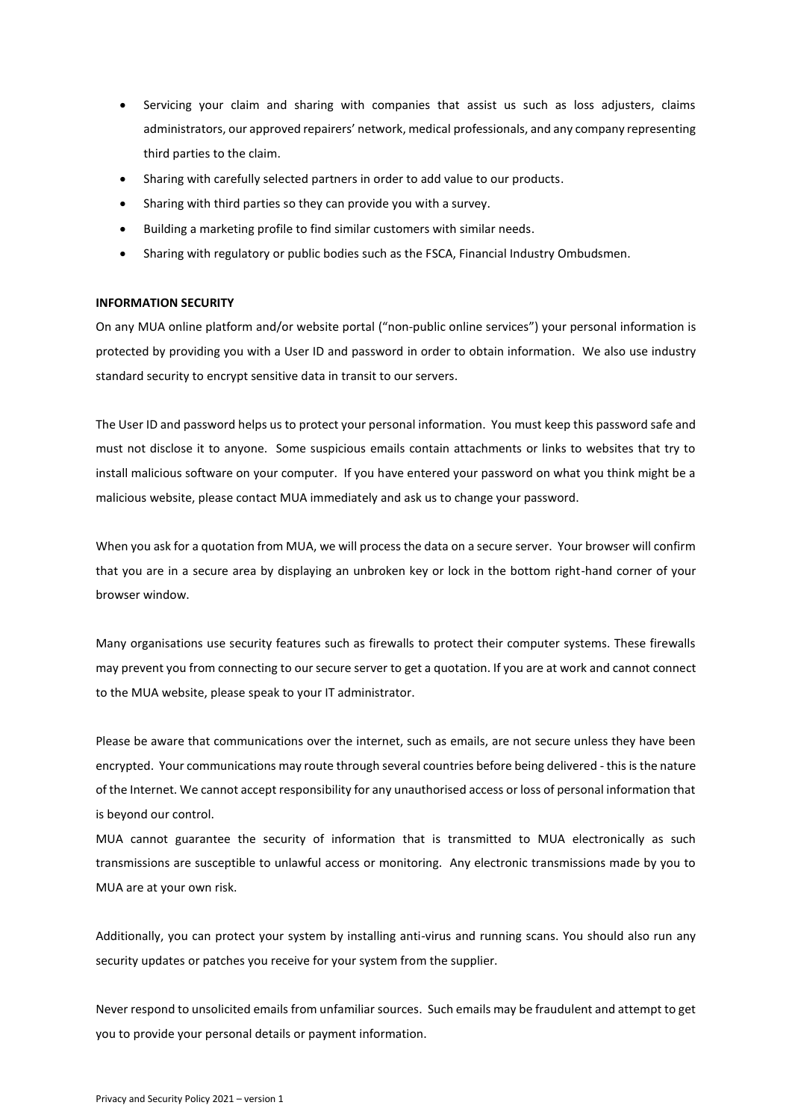- Servicing your claim and sharing with companies that assist us such as loss adjusters, claims administrators, our approved repairers' network, medical professionals, and any company representing third parties to the claim.
- Sharing with carefully selected partners in order to add value to our products.
- Sharing with third parties so they can provide you with a survey.
- Building a marketing profile to find similar customers with similar needs.
- Sharing with regulatory or public bodies such as the FSCA, Financial Industry Ombudsmen.

### **INFORMATION SECURITY**

On any MUA online platform and/or website portal ("non-public online services") your personal information is protected by providing you with a User ID and password in order to obtain information. We also use industry standard security to encrypt sensitive data in transit to our servers.

The User ID and password helps us to protect your personal information. You must keep this password safe and must not disclose it to anyone. Some suspicious emails contain attachments or links to websites that try to install malicious software on your computer. If you have entered your password on what you think might be a malicious website, please contact MUA immediately and ask us to change your password.

When you ask for a quotation from MUA, we will process the data on a secure server. Your browser will confirm that you are in a secure area by displaying an unbroken key or lock in the bottom right-hand corner of your browser window.

Many organisations use security features such as firewalls to protect their computer systems. These firewalls may prevent you from connecting to our secure server to get a quotation. If you are at work and cannot connect to the MUA website, please speak to your IT administrator.

Please be aware that communications over the internet, such as emails, are not secure unless they have been encrypted. Your communications may route through several countries before being delivered - this is the nature of the Internet. We cannot accept responsibility for any unauthorised access or loss of personal information that is beyond our control.

MUA cannot guarantee the security of information that is transmitted to MUA electronically as such transmissions are susceptible to unlawful access or monitoring. Any electronic transmissions made by you to MUA are at your own risk.

Additionally, you can protect your system by installing anti-virus and running scans. You should also run any security updates or patches you receive for your system from the supplier.

Never respond to unsolicited emails from unfamiliar sources. Such emails may be fraudulent and attempt to get you to provide your personal details or payment information.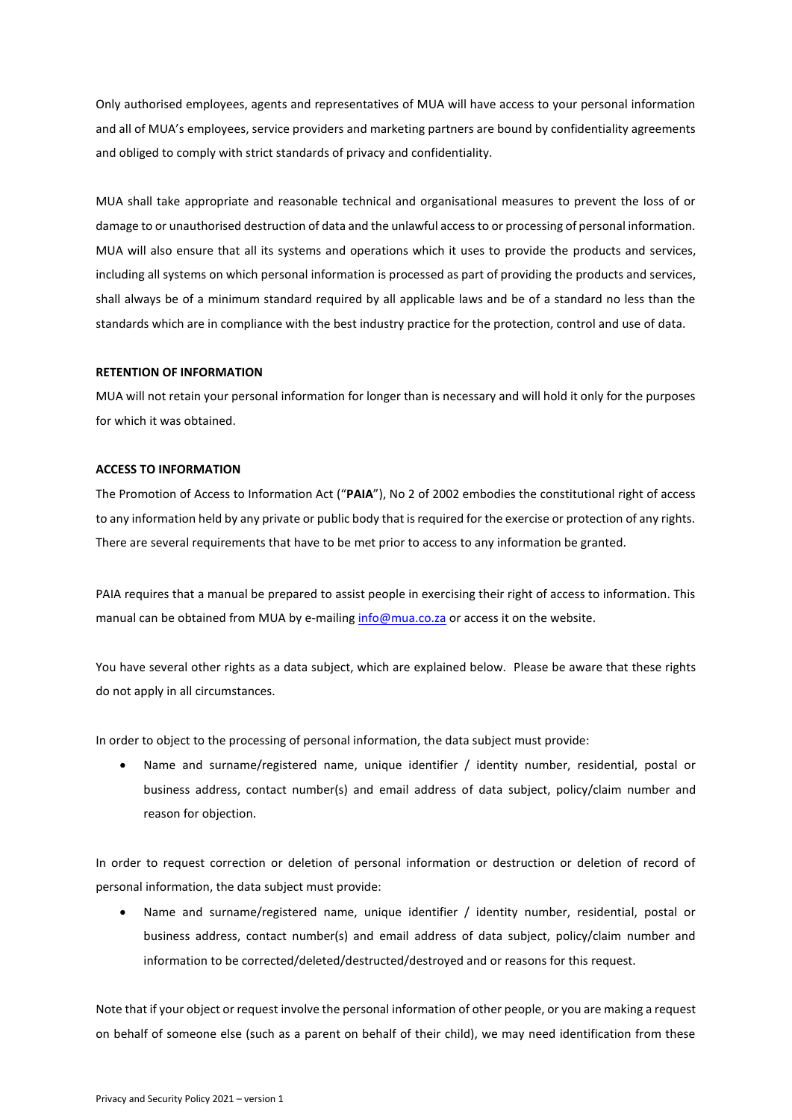Only authorised employees, agents and representatives of MUA will have access to your personal information and all of MUA's employees, service providers and marketing partners are bound by confidentiality agreements and obliged to comply with strict standards of privacy and confidentiality.

MUA shall take appropriate and reasonable technical and organisational measures to prevent the loss of or damage to or unauthorised destruction of data and the unlawful access to or processing of personal information. MUA will also ensure that all its systems and operations which it uses to provide the products and services, including all systems on which personal information is processed as part of providing the products and services, shall always be of a minimum standard required by all applicable laws and be of a standard no less than the standards which are in compliance with the best industry practice for the protection, control and use of data.

# **RETENTION OF INFORMATION**

MUA will not retain your personal information for longer than is necessary and will hold it only for the purposes for which it was obtained.

### **ACCESS TO INFORMATION**

The Promotion of Access to Information Act ("**PAIA**"), No 2 of 2002 embodies the constitutional right of access to any information held by any private or public body that is required for the exercise or protection of any rights. There are several requirements that have to be met prior to access to any information be granted.

PAIA requires that a manual be prepared to assist people in exercising their right of access to information. This manual can be obtained from MUA by e-mailin[g info@mua.co.za](mailto:info@mua.co.za) or access it on the website.

You have several other rights as a data subject, which are explained below. Please be aware that these rights do not apply in all circumstances.

In order to object to the processing of personal information, the data subject must provide:

• Name and surname/registered name, unique identifier / identity number, residential, postal or business address, contact number(s) and email address of data subject, policy/claim number and reason for objection.

In order to request correction or deletion of personal information or destruction or deletion of record of personal information, the data subject must provide:

Name and surname/registered name, unique identifier / identity number, residential, postal or business address, contact number(s) and email address of data subject, policy/claim number and information to be corrected/deleted/destructed/destroyed and or reasons for this request.

Note that if your object or request involve the personal information of other people, or you are making a request on behalf of someone else (such as a parent on behalf of their child), we may need identification from these